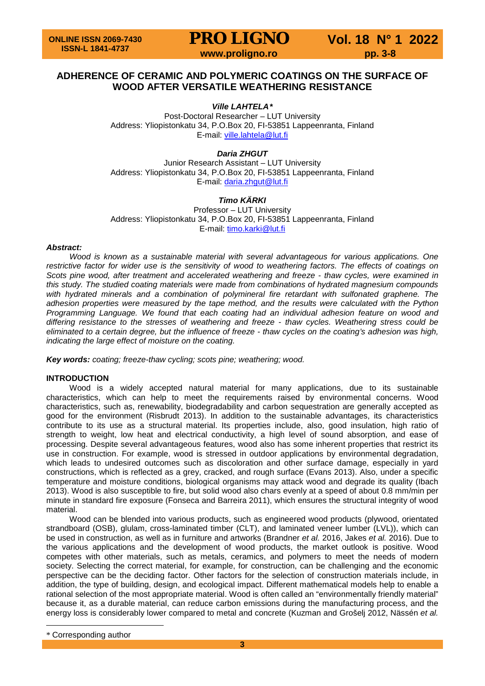**PRO LIGNO** Vol. 18 N° 1 2022<br>www.proligno.ro pp. 3-8

### **ADHERENCE OF CERAMIC AND POLYMERIC COATINGS ON THE SURFACE OF WOOD AFTER VERSATILE WEATHERING RESISTANCE**

*Ville LAHTELA[\\*](#page-0-0)*

Post-Doctoral Researcher – LUT University Address: Yliopistonkatu 34, P.O.Box 20, FI-53851 Lappeenranta, Finland E-mail: [ville.lahtela@lut.fi](mailto:ville.lahtela@lut.fi)

*Daria ZHGUT*

Junior Research Assistant – LUT University Address: Yliopistonkatu 34, P.O.Box 20, FI-53851 Lappeenranta, Finland E-mail: [daria.zhgut@lut.fi](mailto:daria.zhgut@lut.fi)

### *Timo KÄRKI*

Professor – LUT University Address: Yliopistonkatu 34, P.O.Box 20, FI-53851 Lappeenranta, Finland E-mail: [timo.karki@lut.fi](mailto:timo.karki@lut.fi)

#### *Abstract:*

*Wood is known as a sustainable material with several advantageous for various applications. One restrictive factor for wider use is the sensitivity of wood to weathering factors. The effects of coatings on Scots pine wood, after treatment and accelerated weathering and freeze - thaw cycles, were examined in this study. The studied coating materials were made from combinations of hydrated magnesium compounds*  with hydrated minerals and a combination of polymineral fire retardant with sulfonated graphene. The *adhesion properties were measured by the tape method, and the results were calculated with the Python Programming Language. We found that each coating had an individual adhesion feature on wood and differing resistance to the stresses of weathering and freeze - thaw cycles. Weathering stress could be eliminated to a certain degree, but the influence of freeze - thaw cycles on the coating's adhesion was high, indicating the large effect of moisture on the coating.*

*Key words: coating; freeze-thaw cycling; scots pine; weathering; wood.*

### **INTRODUCTION**

Wood is a widely accepted natural material for many applications, due to its sustainable characteristics, which can help to meet the requirements raised by environmental concerns. Wood characteristics, such as, renewability, biodegradability and carbon sequestration are generally accepted as good for the environment (Risbrudt 2013). In addition to the sustainable advantages, its characteristics contribute to its use as a structural material. Its properties include, also, good insulation, high ratio of strength to weight, low heat and electrical conductivity, a high level of sound absorption, and ease of processing. Despite several advantageous features, wood also has some inherent properties that restrict its use in construction. For example, wood is stressed in outdoor applications by environmental degradation, which leads to undesired outcomes such as discoloration and other surface damage, especially in yard constructions, which is reflected as a grey, cracked, and rough surface (Evans 2013). Also, under a specific temperature and moisture conditions, biological organisms may attack wood and degrade its quality (Ibach 2013). Wood is also susceptible to fire, but solid wood also chars evenly at a speed of about 0.8 mm/min per minute in standard fire exposure (Fonseca and Barreira 2011), which ensures the structural integrity of wood material.

Wood can be blended into various products, such as engineered wood products (plywood, orientated strandboard (OSB), glulam, cross-laminated timber (CLT), and laminated veneer lumber (LVL)), which can be used in construction, as well as in furniture and artworks (Brandner *et al.* 2016, Jakes *et al.* 2016). Due to the various applications and the development of wood products, the market outlook is positive. Wood competes with other materials, such as metals, ceramics, and polymers to meet the needs of modern society. Selecting the correct material, for example, for construction, can be challenging and the economic perspective can be the deciding factor. Other factors for the selection of construction materials include, in addition, the type of building, design, and ecological impact. Different mathematical models help to enable a rational selection of the most appropriate material. Wood is often called an "environmentally friendly material" because it, as a durable material, can reduce carbon emissions during the manufacturing process, and the energy loss is considerably lower compared to metal and concrete (Kuzman and Grošelj 2012, Nässén *et al.*

 $\overline{a}$ 

<span id="page-0-0"></span><sup>\*</sup> Corresponding author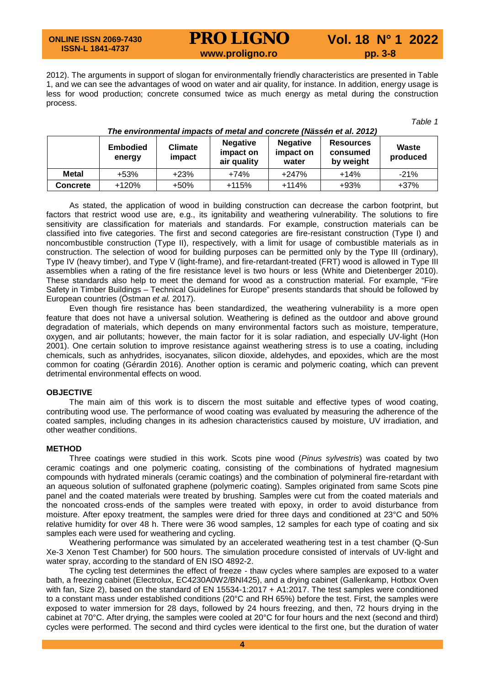**ONLINE ISSN 2069-7430 ISSN-L 1841-4737**

# **PRO LIGNO** Vol. 18 N° 1 2022<br>www.proligno.ro pp. 3-8

2012). The arguments in support of slogan for environmentally friendly characteristics are presented in Table 1, and we can see the advantages of wood on water and air quality, for instance. In addition, energy usage is less for wood production; concrete consumed twice as much energy as metal during the construction process.

*Table 1*

|                 | <b>Embodied</b><br>energy | <b>Climate</b><br>impact | <b>Negative</b><br>impact on<br>air quality | <b>Negative</b><br>impact on<br>water | <b>Resources</b><br>consumed<br>by weight | Waste<br>produced |
|-----------------|---------------------------|--------------------------|---------------------------------------------|---------------------------------------|-------------------------------------------|-------------------|
| <b>Metal</b>    | +53%                      | $+23%$                   | $+74%$                                      | $+247%$                               | $+14%$                                    | $-21%$            |
| <b>Concrete</b> | $+120%$                   | $+50%$                   | $+115%$                                     | $+114%$                               | $+93%$                                    | $+37%$            |

#### *The environmental impacts of metal and concrete (Nässén et al. 2012)*

As stated, the application of wood in building construction can decrease the carbon footprint, but factors that restrict wood use are, e.g., its ignitability and weathering vulnerability. The solutions to fire sensitivity are classification for materials and standards. For example, construction materials can be classified into five categories. The first and second categories are fire-resistant construction (Type I) and noncombustible construction (Type II), respectively, with a limit for usage of combustible materials as in construction. The selection of wood for building purposes can be permitted only by the Type III (ordinary), Type IV (heavy timber), and Type V (light-frame), and fire-retardant-treated (FRT) wood is allowed in Type III assemblies when a rating of the fire resistance level is two hours or less (White and Dietenberger 2010). These standards also help to meet the demand for wood as a construction material. For example, "Fire Safety in Timber Buildings – Technical Guidelines for Europe" presents standards that should be followed by European countries (Östman *et al.* 2017).

Even though fire resistance has been standardized, the weathering vulnerability is a more open feature that does not have a universal solution. Weathering is defined as the outdoor and above ground degradation of materials, which depends on many environmental factors such as moisture, temperature, oxygen, and air pollutants; however, the main factor for it is solar radiation, and especially UV-light (Hon 2001). One certain solution to improve resistance against weathering stress is to use a coating, including chemicals, such as anhydrides, isocyanates, silicon dioxide, aldehydes, and epoxides, which are the most common for coating (Gérardin 2016). Another option is ceramic and polymeric coating, which can prevent detrimental environmental effects on wood.

#### **OBJECTIVE**

The main aim of this work is to discern the most suitable and effective types of wood coating, contributing wood use. The performance of wood coating was evaluated by measuring the adherence of the coated samples, including changes in its adhesion characteristics caused by moisture, UV irradiation, and other weather conditions.

#### **METHOD**

Three coatings were studied in this work. Scots pine wood (*Pinus sylvestris*) was coated by two ceramic coatings and one polymeric coating, consisting of the combinations of hydrated magnesium compounds with hydrated minerals (ceramic coatings) and the combination of polymineral fire-retardant with an aqueous solution of sulfonated graphene (polymeric coating). Samples originated from same Scots pine panel and the coated materials were treated by brushing. Samples were cut from the coated materials and the noncoated cross-ends of the samples were treated with epoxy, in order to avoid disturbance from moisture. After epoxy treatment, the samples were dried for three days and conditioned at 23°C and 50% relative humidity for over 48 h. There were 36 wood samples, 12 samples for each type of coating and six samples each were used for weathering and cycling.

Weathering performance was simulated by an accelerated weathering test in a test chamber (Q-Sun Xe-3 Xenon Test Chamber) for 500 hours. The simulation procedure consisted of intervals of UV-light and water spray, according to the standard of EN ISO 4892-2.

The cycling test determines the effect of freeze - thaw cycles where samples are exposed to a water bath, a freezing cabinet (Electrolux, EC4230A0W2/BNI425), and a drying cabinet (Gallenkamp, Hotbox Oven with fan, Size 2), based on the standard of EN 15534-1:2017 + A1:2017. The test samples were conditioned to a constant mass under established conditions (20°C and RH 65%) before the test. First, the samples were exposed to water immersion for 28 days, followed by 24 hours freezing, and then, 72 hours drying in the cabinet at 70°C. After drying, the samples were cooled at 20°C for four hours and the next (second and third) cycles were performed. The second and third cycles were identical to the first one, but the duration of water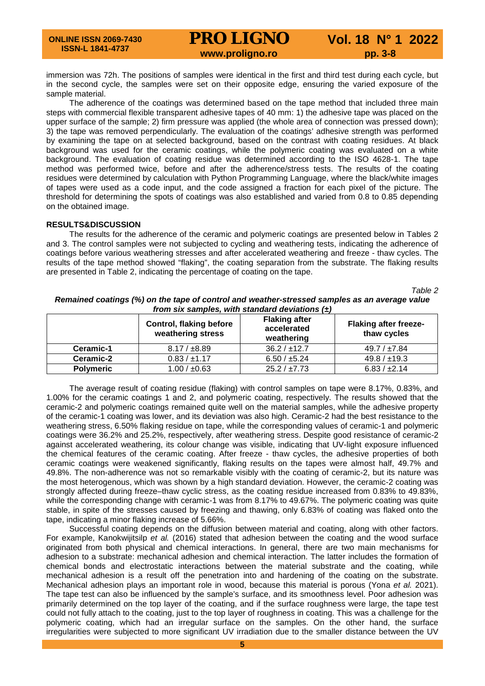# **PRO LIGNO** Vol. 18 N° 1 2022<br>www.proligno.ro pp. 3-8

immersion was 72h. The positions of samples were identical in the first and third test during each cycle, but in the second cycle, the samples were set on their opposite edge, ensuring the varied exposure of the sample material.

The adherence of the coatings was determined based on the tape method that included three main steps with commercial flexible transparent adhesive tapes of 40 mm: 1) the adhesive tape was placed on the upper surface of the sample; 2) firm pressure was applied (the whole area of connection was pressed down); 3) the tape was removed perpendicularly. The evaluation of the coatings' adhesive strength was performed by examining the tape on at selected background, based on the contrast with coating residues. At black background was used for the ceramic coatings, while the polymeric coating was evaluated on a white background. The evaluation of coating residue was determined according to the ISO 4628-1. The tape method was performed twice, before and after the adherence/stress tests. The results of the coating residues were determined by calculation with Python Programming Language, where the black/white images of tapes were used as a code input, and the code assigned a fraction for each pixel of the picture. The threshold for determining the spots of coatings was also established and varied from 0.8 to 0.85 depending on the obtained image.

#### **RESULTS&DISCUSSION**

The results for the adherence of the ceramic and polymeric coatings are presented below in Tables 2 and 3. The control samples were not subjected to cycling and weathering tests, indicating the adherence of coatings before various weathering stresses and after accelerated weathering and freeze - thaw cycles. The results of the tape method showed "flaking", the coating separation from the substrate. The flaking results are presented in Table 2, indicating the percentage of coating on the tape.

*Table 2*

|                  | <b>Control, flaking before</b><br>weathering stress | <b>Flaking after</b><br>accelerated<br>weathering | <b>Flaking after freeze-</b><br>thaw cycles |
|------------------|-----------------------------------------------------|---------------------------------------------------|---------------------------------------------|
| Ceramic-1        | $8.17 / \pm 8.89$                                   | 36.2 / ±12.7                                      | $49.7 / \pm 7.84$                           |
| Ceramic-2        | 0.83 / ±1.17                                        | 6.50 / ±5.24                                      | 49.8 / ±19.3                                |
| <b>Polymeric</b> | $1.00 / \pm 0.63$                                   | 25.2 / ±7.73                                      | 6.83 / ±2.14                                |

*Remained coatings (%) on the tape of control and weather-stressed samples as an average value from six samples, with standard deviations (±)*

The average result of coating residue (flaking) with control samples on tape were 8.17%, 0.83%, and 1.00% for the ceramic coatings 1 and 2, and polymeric coating, respectively. The results showed that the ceramic-2 and polymeric coatings remained quite well on the material samples, while the adhesive property of the ceramic-1 coating was lower, and its deviation was also high. Ceramic-2 had the best resistance to the weathering stress, 6.50% flaking residue on tape, while the corresponding values of ceramic-1 and polymeric coatings were 36.2% and 25.2%, respectively, after weathering stress. Despite good resistance of ceramic-2 against accelerated weathering, its colour change was visible, indicating that UV-light exposure influenced the chemical features of the ceramic coating. After freeze - thaw cycles, the adhesive properties of both ceramic coatings were weakened significantly, flaking results on the tapes were almost half, 49.7% and 49.8%. The non-adherence was not so remarkable visibly with the coating of ceramic-2, but its nature was the most heterogenous, which was shown by a high standard deviation. However, the ceramic-2 coating was strongly affected during freeze–thaw cyclic stress, as the coating residue increased from 0.83% to 49.83%, while the corresponding change with ceramic-1 was from 8.17% to 49.67%. The polymeric coating was quite stable, in spite of the stresses caused by freezing and thawing, only 6.83% of coating was flaked onto the tape, indicating a minor flaking increase of 5.66%.

Successful coating depends on the diffusion between material and coating, along with other factors. For example, Kanokwijitsilp *et al.* (2016) stated that adhesion between the coating and the wood surface originated from both physical and chemical interactions. In general, there are two main mechanisms for adhesion to a substrate: mechanical adhesion and chemical interaction. The latter includes the formation of chemical bonds and electrostatic interactions between the material substrate and the coating, while mechanical adhesion is a result off the penetration into and hardening of the coating on the substrate. Mechanical adhesion plays an important role in wood, because this material is porous (Yona *et al.* 2021). The tape test can also be influenced by the sample's surface, and its smoothness level. Poor adhesion was primarily determined on the top layer of the coating, and if the surface roughness were large, the tape test could not fully attach to the coating, just to the top layer of roughness in coating. This was a challenge for the polymeric coating, which had an irregular surface on the samples. On the other hand, the surface irregularities were subjected to more significant UV irradiation due to the smaller distance between the UV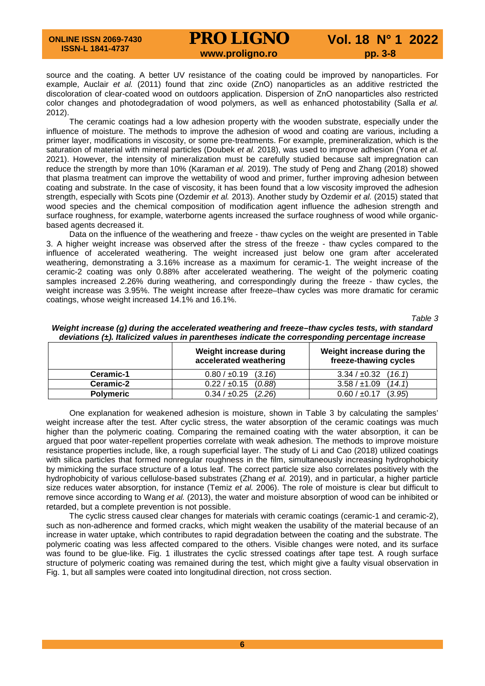# **PRO LIGNO** Vol. 18 N° 1 2022<br>www.proligno.ro pp. 3-8

source and the coating. A better UV resistance of the coating could be improved by nanoparticles. For example, Auclair *et al.* (2011) found that zinc oxide (ZnO) nanoparticles as an additive restricted the discoloration of clear-coated wood on outdoors application. Dispersion of ZnO nanoparticles also restricted color changes and photodegradation of wood polymers, as well as enhanced photostability (Salla *et al.* 2012).

The ceramic coatings had a low adhesion property with the wooden substrate, especially under the influence of moisture. The methods to improve the adhesion of wood and coating are various, including a primer layer, modifications in viscosity, or some pre-treatments. For example, premineralization, which is the saturation of material with mineral particles (Doubek *et al.* 2018), was used to improve adhesion (Yona *et al.* 2021). However, the intensity of mineralization must be carefully studied because salt impregnation can reduce the strength by more than 10% (Karaman *et al.* 2019). The study of Peng and Zhang (2018) showed that plasma treatment can improve the wettability of wood and primer, further improving adhesion between coating and substrate. In the case of viscosity, it has been found that a low viscosity improved the adhesion strength, especially with Scots pine (Ozdemir *et al.* 2013). Another study by Ozdemir *et al.* (2015) stated that wood species and the chemical composition of modification agent influence the adhesion strength and surface roughness, for example, waterborne agents increased the surface roughness of wood while organicbased agents decreased it.

Data on the influence of the weathering and freeze - thaw cycles on the weight are presented in Table 3. A higher weight increase was observed after the stress of the freeze - thaw cycles compared to the influence of accelerated weathering. The weight increased just below one gram after accelerated weathering, demonstrating a 3.16% increase as a maximum for ceramic-1. The weight increase of the ceramic-2 coating was only 0.88% after accelerated weathering. The weight of the polymeric coating samples increased 2.26% during weathering, and correspondingly during the freeze - thaw cycles, the weight increase was 3.95%. The weight increase after freeze–thaw cycles was more dramatic for ceramic coatings, whose weight increased 14.1% and 16.1%.

*Table 3*

|                  | <u>aalimiisiis illiiniisilaa taimee ill kaleiniisessa liimisata illa sell seksilmiid kaleellimäs illei saas</u><br>Weight increase during<br>accelerated weathering | Weight increase during the<br>freeze-thawing cycles |
|------------------|---------------------------------------------------------------------------------------------------------------------------------------------------------------------|-----------------------------------------------------|
| Ceramic-1        | $0.80 / \pm 0.19$ (3.16)                                                                                                                                            | 3.34 / ±0.32<br>(16.1)                              |
| Ceramic-2        | $0.22 / \pm 0.15$ (0.88)                                                                                                                                            | 3.58 / ±1.09<br>(14.1)                              |
| <b>Polymeric</b> | $0.34 / \pm 0.25$<br>(2.26)                                                                                                                                         | $0.60 / \pm 0.17$<br>(3.95)                         |

*Weight increase (g) during the accelerated weathering and freeze–thaw cycles tests, with standard deviations (±). Italicized values in parentheses indicate the corresponding percentage increase*

One explanation for weakened adhesion is moisture, shown in Table 3 by calculating the samples' weight increase after the test. After cyclic stress, the water absorption of the ceramic coatings was much higher than the polymeric coating. Comparing the remained coating with the water absorption, it can be argued that poor water-repellent properties correlate with weak adhesion. The methods to improve moisture resistance properties include, like, a rough superficial layer. The study of Li and Cao (2018) utilized coatings with silica particles that formed nonregular roughness in the film, simultaneously increasing hydrophobicity by mimicking the surface structure of a lotus leaf. The correct particle size also correlates positively with the hydrophobicity of various cellulose-based substrates (Zhang *et al.* 2019), and in particular, a higher particle size reduces water absorption, for instance (Temiz *et al.* 2006). The role of moisture is clear but difficult to remove since according to Wang *et al.* (2013), the water and moisture absorption of wood can be inhibited or retarded, but a complete prevention is not possible.

The cyclic stress caused clear changes for materials with ceramic coatings (ceramic-1 and ceramic-2), such as non-adherence and formed cracks, which might weaken the usability of the material because of an increase in water uptake, which contributes to rapid degradation between the coating and the substrate. The polymeric coating was less affected compared to the others. Visible changes were noted, and its surface was found to be glue-like. Fig. 1 illustrates the cyclic stressed coatings after tape test. A rough surface structure of polymeric coating was remained during the test, which might give a faulty visual observation in Fig. 1, but all samples were coated into longitudinal direction, not cross section.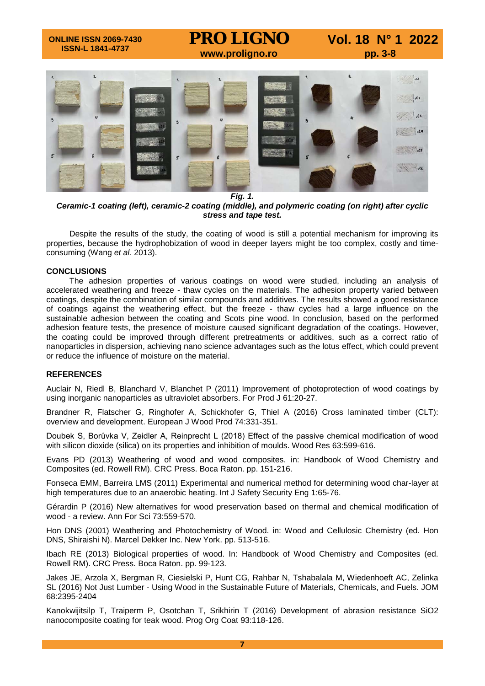

*Fig. 1.*

*Ceramic-1 coating (left), ceramic-2 coating (middle), and polymeric coating (on right) after cyclic stress and tape test.*

Despite the results of the study, the coating of wood is still a potential mechanism for improving its properties, because the hydrophobization of wood in deeper layers might be too complex, costly and timeconsuming (Wang *et al.* 2013).

#### **CONCLUSIONS**

The adhesion properties of various coatings on wood were studied, including an analysis of accelerated weathering and freeze - thaw cycles on the materials. The adhesion property varied between coatings, despite the combination of similar compounds and additives. The results showed a good resistance of coatings against the weathering effect, but the freeze - thaw cycles had a large influence on the sustainable adhesion between the coating and Scots pine wood. In conclusion, based on the performed adhesion feature tests, the presence of moisture caused significant degradation of the coatings. However, the coating could be improved through different pretreatments or additives, such as a correct ratio of nanoparticles in dispersion, achieving nano science advantages such as the lotus effect, which could prevent or reduce the influence of moisture on the material.

#### **REFERENCES**

Auclair N, Riedl B, Blanchard V, Blanchet P (2011) Improvement of photoprotection of wood coatings by using inorganic nanoparticles as ultraviolet absorbers. For Prod J 61:20-27.

Brandner R, Flatscher G, Ringhofer A, Schickhofer G, Thiel A (2016) Cross laminated timber (CLT): overview and development. European J Wood Prod 74:331-351.

Doubek S, Borůvka V, Zeidler A, Reinprecht L (2018) Effect of the passive chemical modification of wood with silicon dioxide (silica) on its properties and inhibition of moulds. Wood Res 63:599-616.

Evans PD (2013) Weathering of wood and wood composites. in: Handbook of Wood Chemistry and Composites (ed. Rowell RM). CRC Press. Boca Raton. pp. 151-216.

Fonseca EMM, Barreira LMS (2011) Experimental and numerical method for determining wood char-layer at high temperatures due to an anaerobic heating. Int J Safety Security Eng 1:65-76.

Gérardin P (2016) New alternatives for wood preservation based on thermal and chemical modification of wood - a review. Ann For Sci 73:559-570.

Hon DNS (2001) Weathering and Photochemistry of Wood. in: Wood and Cellulosic Chemistry (ed. Hon DNS, Shiraishi N). Marcel Dekker Inc. New York. pp. 513-516.

Ibach RE (2013) Biological properties of wood. In: Handbook of Wood Chemistry and Composites (ed. Rowell RM). CRC Press. Boca Raton. pp. 99-123.

Jakes JE, Arzola X, Bergman R, Ciesielski P, Hunt CG, Rahbar N, Tshabalala M, Wiedenhoeft AC, Zelinka SL (2016) Not Just Lumber - Using Wood in the Sustainable Future of Materials, Chemicals, and Fuels. JOM 68:2395-2404

Kanokwijitsilp T, Traiperm P, Osotchan T, Srikhirin T (2016) Development of abrasion resistance SiO2 nanocomposite coating for teak wood. Prog Org Coat 93:118-126.